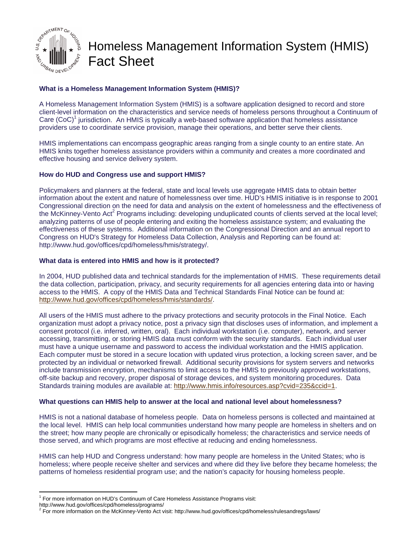

# Homeless Management Information System (HMIS) Fact Sheet

# **What is a Homeless Management Information System (HMIS)?**

A Homeless Management Information System (HMIS) is a software application designed to record and store client-level information on the characteristics and service needs of homeless persons throughout a Continuum of Care (CoC)<sup>1</sup> jurisdiction. An HMIS is typically a web-based software application that homeless assistance providers use to coordinate service provision, manage their operations, and better serve their clients.

HMIS implementations can encompass geographic areas ranging from a single county to an entire state. An HMIS knits together homeless assistance providers within a community and creates a more coordinated and effective housing and service delivery system.

## **How do HUD and Congress use and support HMIS?**

Policymakers and planners at the federal, state and local levels use aggregate HMIS data to obtain better information about the extent and nature of homelessness over time. HUD's HMIS initiative is in response to 2001 Congressional direction on the need for data and analysis on the extent of homelessness and the effectiveness of the McKinney-Vento Act<sup>2</sup> Programs including: developing unduplicated counts of clients served at the local level; analyzing patterns of use of people entering and exiting the homeless assistance system; and evaluating the effectiveness of these systems. Additional information on the Congressional Direction and an annual report to Congress on HUD's Strategy for Homeless Data Collection, Analysis and Reporting can be found at: http://www.hud.gov/offices/cpd/homeless/hmis/strategy/.

## **What data is entered into HMIS and how is it protected?**

In 2004, HUD published data and technical standards for the implementation of HMIS. These requirements detail the data collection, participation, privacy, and security requirements for all agencies entering data into or having access to the HMIS. A copy of the HMIS Data and Technical Standards Final Notice can be found at: http://www.hud.gov/offices/cpd/homeless/hmis/standards/.

All users of the HMIS must adhere to the privacy protections and security protocols in the Final Notice. Each organization must adopt a privacy notice, post a privacy sign that discloses uses of information, and implement a consent protocol (i.e. inferred, written, oral). Each individual workstation (i.e. computer), network, and server accessing, transmitting, or storing HMIS data must conform with the security standards. Each individual user must have a unique username and password to access the individual workstation and the HMIS application. Each computer must be stored in a secure location with updated virus protection, a locking screen saver, and be protected by an individual or networked firewall. Additional security provisions for system servers and networks include transmission encryption, mechanisms to limit access to the HMIS to previously approved workstations, off-site backup and recovery, proper disposal of storage devices, and system monitoring procedures. Data Standards training modules are available at: http://www.hmis.info/resources.asp?cvid=235&ccid=1.

#### **What questions can HMIS help to answer at the local and national level about homelessness?**

HMIS is not a national database of homeless people. Data on homeless persons is collected and maintained at the local level. HMIS can help local communities understand how many people are homeless in shelters and on the street; how many people are chronically or episodically homeless; the characteristics and service needs of those served, and which programs are most effective at reducing and ending homelessness.

HMIS can help HUD and Congress understand: how many people are homeless in the United States; who is homeless; where people receive shelter and services and where did they live before they became homeless; the patterns of homeless residential program use; and the nation's capacity for housing homeless people.

 1 For more information on HUD's Continuum of Care Homeless Assistance Programs visit:

http://www.hud.gov/offices/cpd/homeless/programs/

<sup>2</sup> For more information on the McKinney-Vento Act visit: http://www.hud.gov/offices/cpd/homeless/rulesandregs/laws/